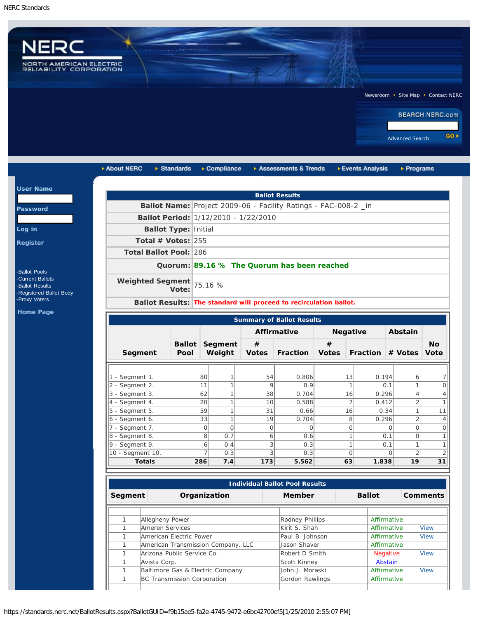$\vert$  Us

Pa

 $Loq$  $Re<sub>g</sub>$ 



| ▶ About NERC                         | $\triangleright$ Standards  | $\triangleright$ Compliance          |              | Assessments & Trends                                               |              | ▶ Events Analysis        | $\triangleright$ Programs                         |           |
|--------------------------------------|-----------------------------|--------------------------------------|--------------|--------------------------------------------------------------------|--------------|--------------------------|---------------------------------------------------|-----------|
|                                      |                             |                                      |              | <b>Ballot Results</b>                                              |              |                          |                                                   |           |
|                                      |                             |                                      |              | Ballot Name: Project 2009-06 - Facility Ratings - FAC-008-2 _in    |              |                          |                                                   |           |
|                                      |                             | Ballot Period: 1/12/2010 - 1/22/2010 |              |                                                                    |              |                          |                                                   |           |
|                                      | <b>Ballot Type: Initial</b> |                                      |              |                                                                    |              |                          |                                                   |           |
| Total # Votes: $255$                 |                             |                                      |              |                                                                    |              |                          |                                                   |           |
|                                      |                             |                                      |              |                                                                    |              |                          |                                                   |           |
| <b>Total Ballot Pool: 286</b>        |                             |                                      |              |                                                                    |              |                          |                                                   |           |
|                                      |                             |                                      |              | Quorum: 89.16 % The Quorum has been reached                        |              |                          |                                                   |           |
| <b>Weighted Segment</b>              | Vote:                       | 75.16 %                              |              |                                                                    |              |                          |                                                   |           |
|                                      |                             |                                      |              | Ballot Results: The standard will proceed to recirculation ballot. |              |                          |                                                   |           |
|                                      |                             |                                      |              |                                                                    |              |                          |                                                   |           |
| <b>Summary of Ballot Results</b>     |                             |                                      |              |                                                                    |              |                          |                                                   |           |
|                                      |                             |                                      |              | <b>Affirmative</b>                                                 |              | <b>Negative</b>          | Abstain                                           |           |
|                                      |                             | <b>Ballot Segment</b>                | #            |                                                                    | #            |                          |                                                   | <b>No</b> |
| Segment                              | Pool                        | Weight                               | <b>Votes</b> | <b>Fraction</b>                                                    | <b>Votes</b> |                          | Fraction # Votes Vote                             |           |
|                                      |                             |                                      |              |                                                                    |              |                          |                                                   |           |
| 1 - Segment 1.                       |                             | 80<br>$\mathbf{1}$                   | 54           | 0.806                                                              | 13           | 0.194                    | 6                                                 |           |
| 2 - Segment 2.                       |                             | 11<br>$\mathbf{1}$                   | 9            | 0.9                                                                |              | 1                        | $\mathbf{1}$<br>0.1                               |           |
| 3 - Segment 3.                       |                             | 62<br>$\mathbf{1}$                   | 38           | 0.704                                                              | 16           | 0.296                    | $\overline{4}$                                    |           |
| 4 - Segment 4.                       |                             | $\mathbf{1}$<br>20                   | 10           | 0.588                                                              |              | 7<br>0.412               | $\overline{2}$                                    |           |
| 5 - Segment 5.                       |                             | 59<br>$\mathbf{1}$                   | 31           | 0.66                                                               | 16           |                          | $\mathbf{1}$<br>0.34                              | 11        |
| 6 - Segment 6.                       |                             | $\mathbf{1}$<br>33                   | 19           | 0.704                                                              |              | 8<br>0.296               | $\overline{2}$                                    |           |
| 7 - Segment 7.                       |                             | $\circ$<br>$\circ$                   | $\circ$      | $\Omega$                                                           |              | $\overline{O}$           | $\mathbf 0$<br>$\Omega$                           |           |
| 8 - Segment 8.                       |                             | 8<br>0.7                             | 6            | 0.6                                                                |              | $\mathbf{1}$             | $\overline{O}$<br>0.1                             |           |
| $9 -$ Segment 9.<br>10 - Segment 10. |                             | $\overline{6}$<br>0.4<br>7<br>0.3    | 3<br>3       | 0.3<br>0.3                                                         |              | $\mathbf{1}$<br>$\Omega$ | $\mathbf{1}$<br>0.1<br>$\overline{2}$<br>$\Omega$ |           |
|                                      |                             |                                      |              |                                                                    |              |                          |                                                   |           |

| <b>Individual Ballot Pool Results</b> |                                    |                 |               |                 |             |  |  |
|---------------------------------------|------------------------------------|-----------------|---------------|-----------------|-------------|--|--|
| Organization<br>Segment               |                                    | Member          | <b>Ballot</b> | <b>Comments</b> |             |  |  |
|                                       |                                    |                 |               |                 |             |  |  |
|                                       | Allegheny Power                    | Rodney Phillips |               | Affirmative     |             |  |  |
|                                       | Ameren Services                    | Kirit S. Shah   |               | Affirmative     | <b>View</b> |  |  |
|                                       | American Electric Power            | Paul B. Johnson |               | Affirmative     | <b>View</b> |  |  |
|                                       | American Transmission Company, LLC | Llason Shaver   |               | Affirmative     |             |  |  |
|                                       | Arizona Public Service Co.         | Robert D Smith  |               | Negative        | <b>View</b> |  |  |
|                                       | Avista Corp.                       | Scott Kinney    |               | Abstain         |             |  |  |
|                                       | Baltimore Gas & Electric Company   | John J. Moraski |               | Affirmative     | <b>View</b> |  |  |
|                                       | BC Transmission Corporation        | Gordon Rawlings |               | Affirmative     |             |  |  |
|                                       |                                    |                 |               |                 |             |  |  |

https://standards.nerc.net/BallotResults.aspx?BallotGUID=f9b15ae5-fa2e-4745-9472-e6bc42700ef5[1/25/2010 2:55:07 PM]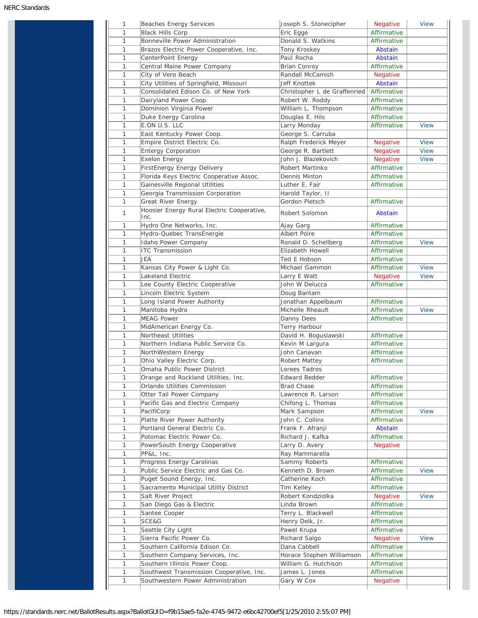| 1      | Beaches Energy Services                                                       | Joseph S. Stonecipher                 | Negative                       | <b>View</b> |
|--------|-------------------------------------------------------------------------------|---------------------------------------|--------------------------------|-------------|
| 1      | <b>Black Hills Corp</b>                                                       | Eric Egge                             | Affirmative                    |             |
| 1      | Bonneville Power Administration                                               | Donald S. Watkins                     | Affirmative                    |             |
| 1      | Brazos Electric Power Cooperative, Inc.                                       | Tony Kroskey                          | Abstain                        |             |
| 1      | CenterPoint Energy                                                            | Paul Rocha                            | Abstain                        |             |
| 1      | Central Maine Power Company                                                   | <b>Brian Conroy</b>                   | Affirmative                    |             |
| 1      | City of Vero Beach                                                            | Randall McCamish                      | <b>Negative</b>                |             |
| 1      | City Utilities of Springfield, Missouri                                       | Jeff Knottek                          | Abstain                        |             |
| 1      | Consolidated Edison Co. of New York                                           | Christopher L de Graffenried          | Affirmative                    |             |
| 1      | Dairyland Power Coop.                                                         | Robert W. Roddy                       | Affirmative                    |             |
| 1      | Dominion Virginia Power                                                       | William L. Thompson                   | Affirmative                    |             |
| 1      | Duke Energy Carolina                                                          | Douglas E. Hils                       | Affirmative                    |             |
| 1      | E.ON U.S. LLC                                                                 |                                       | Affirmative                    | <b>View</b> |
| 1      |                                                                               | Larry Monday                          |                                |             |
|        | East Kentucky Power Coop.                                                     | George S. Carruba                     |                                |             |
| 1      | Empire District Electric Co.                                                  | Ralph Frederick Meyer                 | <b>Negative</b>                | <b>View</b> |
| 1      | <b>Entergy Corporation</b>                                                    | George R. Bartlett                    | <b>Negative</b>                | <b>View</b> |
| 1      | Exelon Energy                                                                 | John J. Blazekovich                   | <b>Negative</b>                | <b>View</b> |
| 1      | FirstEnergy Energy Delivery                                                   | Robert Martinko                       | Affirmative                    |             |
| 1      | Florida Keys Electric Cooperative Assoc.                                      | Dennis Minton                         | Affirmative                    |             |
| 1      | Gainesville Regional Utilities                                                | Luther E. Fair                        | Affirmative                    |             |
| 1      | Georgia Transmission Corporation                                              | Harold Taylor, II                     |                                |             |
| 1      | Great River Energy                                                            | Gordon Pietsch                        | Affirmative                    |             |
| 1      | Hoosier Energy Rural Electric Cooperative,<br>Inc.                            | Robert Solomon                        | Abstain                        |             |
| 1      | Hydro One Networks, Inc.                                                      | Ajay Garg                             | Affirmative                    |             |
| 1      | Hydro-Quebec TransEnergie                                                     | Albert Poire                          | Affirmative                    |             |
| 1      | Idaho Power Company                                                           | Ronald D. Schellberg                  | Affirmative                    | <b>View</b> |
| 1      | <b>ITC Transmission</b>                                                       | Elizabeth Howell                      | Affirmative                    |             |
| 1      | JEA                                                                           | Ted E Hobson                          | Affirmative                    |             |
| 1      | Kansas City Power & Light Co.                                                 | Michael Gammon                        | Affirmative                    | <b>View</b> |
| 1      | Lakeland Electric                                                             | Larry E Watt                          | <b>Negative</b>                | <b>View</b> |
| 1      | Lee County Electric Cooperative                                               | John W Delucca                        | Affirmative                    |             |
| 1      | Lincoln Electric System                                                       | Doug Bantam                           |                                |             |
| 1      | Long Island Power Authority                                                   | Jonathan Appelbaum                    | Affirmative                    |             |
| 1      | Manitoba Hydro                                                                | Michelle Rheault                      | Affirmative                    | <b>View</b> |
| 1      | <b>MEAG Power</b>                                                             |                                       | Affirmative                    |             |
| 1      | MidAmerican Energy Co.                                                        | Danny Dees                            |                                |             |
| 1      | Northeast Utilities                                                           | Terry Harbour<br>David H. Boguslawski | Affirmative                    |             |
| 1      |                                                                               | Kevin M Largura                       |                                |             |
|        | Northern Indiana Public Service Co.                                           | John Canavan                          | Affirmative<br>Affirmative     |             |
| 1      | NorthWestern Energy                                                           |                                       |                                |             |
| 1      | Ohio Valley Electric Corp.                                                    | Robert Mattey                         | Affirmative                    |             |
| 1      | Omaha Public Power District                                                   | Lorees Tadros                         |                                |             |
| 1      | Orange and Rockland Utilities, Inc.                                           | <b>Edward Bedder</b>                  | Affirmative                    |             |
| 1      | Orlando Utilities Commission                                                  | <b>Brad Chase</b>                     | Affirmative                    |             |
| 1      | Otter Tail Power Company                                                      | Lawrence R. Larson                    | Affirmative                    |             |
| 1      | Pacific Gas and Electric Company                                              | Chifong L. Thomas                     | Affirmative                    |             |
| 1      | PacifiCorp                                                                    | Mark Sampson                          | Affirmative                    | <b>View</b> |
| 1      | Platte River Power Authority                                                  | John C. Collins                       | Affirmative                    |             |
| 1      | Portland General Electric Co.                                                 | Frank F. Afranji                      | Abstain                        |             |
| 1      | Potomac Electric Power Co.                                                    | Richard J. Kafka                      | Affirmative                    |             |
| 1      | PowerSouth Energy Cooperative                                                 | Larry D. Avery                        | <b>Negative</b>                |             |
| 1      | PP&L, Inc.                                                                    | Ray Mammarella                        |                                |             |
| 1      | Progress Energy Carolinas                                                     | Sammy Roberts                         | Affirmative                    |             |
| 1      | Public Service Electric and Gas Co.                                           | Kenneth D. Brown                      | Affirmative                    | <b>View</b> |
| 1      |                                                                               | Catherine Koch                        | Affirmative                    |             |
|        | Puget Sound Energy, Inc.                                                      |                                       |                                |             |
| 1      | Sacramento Municipal Utility District                                         | Tim Kelley                            | Affirmative                    |             |
| 1      | Salt River Project                                                            | Robert Kondziolka                     | <b>Negative</b>                | <b>View</b> |
| 1      |                                                                               | Linda Brown                           | Affirmative                    |             |
| 1      | San Diego Gas & Electric                                                      |                                       |                                |             |
|        | Santee Cooper                                                                 | Terry L. Blackwell                    | Affirmative                    |             |
| 1      | SCE&G                                                                         | Henry Delk, Jr.                       | Affirmative                    |             |
| 1      | Seattle City Light                                                            | Pawel Krupa                           | Affirmative                    |             |
| 1      | Sierra Pacific Power Co.                                                      | Richard Salgo                         | <b>Negative</b>                | <b>View</b> |
| 1      | Southern California Edison Co.                                                | Dana Cabbell                          | Affirmative                    |             |
| 1      | Southern Company Services, Inc.                                               | Horace Stephen Williamson             | Affirmative                    |             |
| 1      | Southern Illinois Power Coop.                                                 | William G. Hutchison                  | Affirmative                    |             |
| 1<br>1 | Southwest Transmission Cooperative, Inc.<br>Southwestern Power Administration | James L. Jones<br>Gary W Cox          | Affirmative<br><b>Negative</b> |             |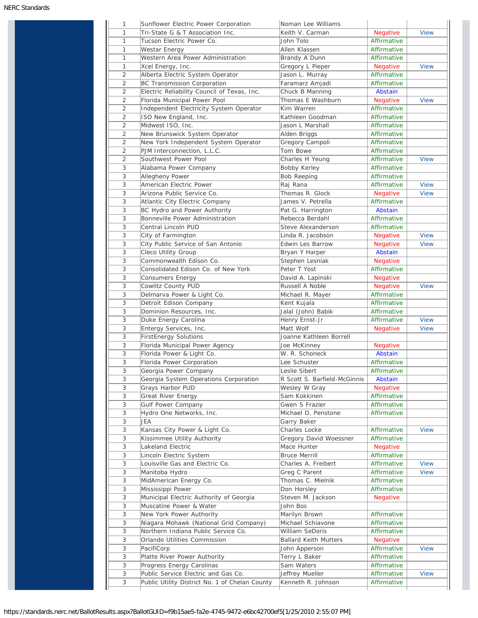| Tri-State G & T Association Inc.<br>Tucson Electric Power Co.<br>Westar Energy<br>Western Area Power Administration<br>Xcel Energy, Inc.<br>Alberta Electric System Operator<br>BC Transmission Corporation<br>Electric Reliability Council of Texas, Inc.<br>Florida Municipal Power Pool<br>Independent Electricity System Operator<br>ISO New England, Inc.<br>Midwest ISO, Inc.<br>New Brunswick System Operator<br>New York Independent System Operator<br>PJM Interconnection, L.L.C.<br>Southwest Power Pool<br>Alabama Power Company<br>Allegheny Power<br>American Electric Power<br>Arizona Public Service Co.<br>Atlantic City Electric Company<br>BC Hydro and Power Authority<br>Bonneville Power Administration<br>Central Lincoln PUD<br>City of Farmington<br>City Public Service of San Antonio<br>Cleco Utility Group<br>Commonwealth Edison Co.<br>Consolidated Edison Co. of New York<br><b>Consumers Energy</b><br>Cowlitz County PUD<br>Delmarva Power & Light Co.<br>Detroit Edison Company<br>Dominion Resources, Inc.<br>Duke Energy Carolina | Keith V. Carman<br>John Tolo<br>Allen Klassen<br>Brandy A Dunn<br>Gregory L Pieper<br>Jason L. Murray<br>Faramarz Amjadi<br>Chuck B Manning<br>Thomas E Washburn<br>Kim Warren<br>Kathleen Goodman<br>Jason L Marshall<br>Alden Briggs<br>Gregory Campoli<br>Tom Bowe<br>Charles H Yeung<br>Bobby Kerley<br><b>Bob Reeping</b><br>Raj Rana<br>Thomas R. Glock<br>James V. Petrella<br>Pat G. Harrington<br>Rebecca Berdahl<br>Steve Alexanderson<br>Linda R. Jacobson<br>Edwin Les Barrow<br>Bryan Y Harper<br>Stephen Lesniak<br>Peter T Yost<br>David A. Lapinski<br>Russell A Noble<br>Michael R. Mayer<br>Kent Kujala<br>Jalal (John) Babik | Negative<br>Affirmative<br>Affirmative<br>Affirmative<br><b>Negative</b><br>Affirmative<br>Affirmative<br>Abstain<br>Negative<br>Affirmative<br>Affirmative<br>Affirmative<br>Affirmative<br>Affirmative<br>Affirmative<br>Affirmative<br>Affirmative<br>Affirmative<br>Affirmative<br><b>Negative</b><br>Affirmative<br>Abstain<br>Affirmative<br>Affirmative<br><b>Negative</b><br>Negative<br>Abstain<br><b>Negative</b><br>Affirmative<br><b>Negative</b><br><b>Negative</b><br>Affirmative<br>Affirmative<br>Affirmative | <b>View</b><br><b>View</b><br><b>View</b><br><b>View</b><br><b>View</b><br><b>View</b><br><b>View</b><br><b>View</b><br><b>View</b>                                        |
|------------------------------------------------------------------------------------------------------------------------------------------------------------------------------------------------------------------------------------------------------------------------------------------------------------------------------------------------------------------------------------------------------------------------------------------------------------------------------------------------------------------------------------------------------------------------------------------------------------------------------------------------------------------------------------------------------------------------------------------------------------------------------------------------------------------------------------------------------------------------------------------------------------------------------------------------------------------------------------------------------------------------------------------------------------------------|-------------------------------------------------------------------------------------------------------------------------------------------------------------------------------------------------------------------------------------------------------------------------------------------------------------------------------------------------------------------------------------------------------------------------------------------------------------------------------------------------------------------------------------------------------------------------------------------------------------------------------------------------|-------------------------------------------------------------------------------------------------------------------------------------------------------------------------------------------------------------------------------------------------------------------------------------------------------------------------------------------------------------------------------------------------------------------------------------------------------------------------------------------------------------------------------|----------------------------------------------------------------------------------------------------------------------------------------------------------------------------|
|                                                                                                                                                                                                                                                                                                                                                                                                                                                                                                                                                                                                                                                                                                                                                                                                                                                                                                                                                                                                                                                                        |                                                                                                                                                                                                                                                                                                                                                                                                                                                                                                                                                                                                                                                 |                                                                                                                                                                                                                                                                                                                                                                                                                                                                                                                               |                                                                                                                                                                            |
|                                                                                                                                                                                                                                                                                                                                                                                                                                                                                                                                                                                                                                                                                                                                                                                                                                                                                                                                                                                                                                                                        |                                                                                                                                                                                                                                                                                                                                                                                                                                                                                                                                                                                                                                                 |                                                                                                                                                                                                                                                                                                                                                                                                                                                                                                                               |                                                                                                                                                                            |
|                                                                                                                                                                                                                                                                                                                                                                                                                                                                                                                                                                                                                                                                                                                                                                                                                                                                                                                                                                                                                                                                        |                                                                                                                                                                                                                                                                                                                                                                                                                                                                                                                                                                                                                                                 |                                                                                                                                                                                                                                                                                                                                                                                                                                                                                                                               |                                                                                                                                                                            |
|                                                                                                                                                                                                                                                                                                                                                                                                                                                                                                                                                                                                                                                                                                                                                                                                                                                                                                                                                                                                                                                                        |                                                                                                                                                                                                                                                                                                                                                                                                                                                                                                                                                                                                                                                 |                                                                                                                                                                                                                                                                                                                                                                                                                                                                                                                               |                                                                                                                                                                            |
|                                                                                                                                                                                                                                                                                                                                                                                                                                                                                                                                                                                                                                                                                                                                                                                                                                                                                                                                                                                                                                                                        |                                                                                                                                                                                                                                                                                                                                                                                                                                                                                                                                                                                                                                                 |                                                                                                                                                                                                                                                                                                                                                                                                                                                                                                                               |                                                                                                                                                                            |
|                                                                                                                                                                                                                                                                                                                                                                                                                                                                                                                                                                                                                                                                                                                                                                                                                                                                                                                                                                                                                                                                        |                                                                                                                                                                                                                                                                                                                                                                                                                                                                                                                                                                                                                                                 |                                                                                                                                                                                                                                                                                                                                                                                                                                                                                                                               |                                                                                                                                                                            |
|                                                                                                                                                                                                                                                                                                                                                                                                                                                                                                                                                                                                                                                                                                                                                                                                                                                                                                                                                                                                                                                                        |                                                                                                                                                                                                                                                                                                                                                                                                                                                                                                                                                                                                                                                 |                                                                                                                                                                                                                                                                                                                                                                                                                                                                                                                               |                                                                                                                                                                            |
|                                                                                                                                                                                                                                                                                                                                                                                                                                                                                                                                                                                                                                                                                                                                                                                                                                                                                                                                                                                                                                                                        |                                                                                                                                                                                                                                                                                                                                                                                                                                                                                                                                                                                                                                                 |                                                                                                                                                                                                                                                                                                                                                                                                                                                                                                                               |                                                                                                                                                                            |
|                                                                                                                                                                                                                                                                                                                                                                                                                                                                                                                                                                                                                                                                                                                                                                                                                                                                                                                                                                                                                                                                        |                                                                                                                                                                                                                                                                                                                                                                                                                                                                                                                                                                                                                                                 |                                                                                                                                                                                                                                                                                                                                                                                                                                                                                                                               |                                                                                                                                                                            |
|                                                                                                                                                                                                                                                                                                                                                                                                                                                                                                                                                                                                                                                                                                                                                                                                                                                                                                                                                                                                                                                                        |                                                                                                                                                                                                                                                                                                                                                                                                                                                                                                                                                                                                                                                 |                                                                                                                                                                                                                                                                                                                                                                                                                                                                                                                               |                                                                                                                                                                            |
|                                                                                                                                                                                                                                                                                                                                                                                                                                                                                                                                                                                                                                                                                                                                                                                                                                                                                                                                                                                                                                                                        |                                                                                                                                                                                                                                                                                                                                                                                                                                                                                                                                                                                                                                                 |                                                                                                                                                                                                                                                                                                                                                                                                                                                                                                                               |                                                                                                                                                                            |
|                                                                                                                                                                                                                                                                                                                                                                                                                                                                                                                                                                                                                                                                                                                                                                                                                                                                                                                                                                                                                                                                        |                                                                                                                                                                                                                                                                                                                                                                                                                                                                                                                                                                                                                                                 |                                                                                                                                                                                                                                                                                                                                                                                                                                                                                                                               |                                                                                                                                                                            |
|                                                                                                                                                                                                                                                                                                                                                                                                                                                                                                                                                                                                                                                                                                                                                                                                                                                                                                                                                                                                                                                                        |                                                                                                                                                                                                                                                                                                                                                                                                                                                                                                                                                                                                                                                 |                                                                                                                                                                                                                                                                                                                                                                                                                                                                                                                               |                                                                                                                                                                            |
|                                                                                                                                                                                                                                                                                                                                                                                                                                                                                                                                                                                                                                                                                                                                                                                                                                                                                                                                                                                                                                                                        |                                                                                                                                                                                                                                                                                                                                                                                                                                                                                                                                                                                                                                                 |                                                                                                                                                                                                                                                                                                                                                                                                                                                                                                                               |                                                                                                                                                                            |
|                                                                                                                                                                                                                                                                                                                                                                                                                                                                                                                                                                                                                                                                                                                                                                                                                                                                                                                                                                                                                                                                        |                                                                                                                                                                                                                                                                                                                                                                                                                                                                                                                                                                                                                                                 |                                                                                                                                                                                                                                                                                                                                                                                                                                                                                                                               |                                                                                                                                                                            |
|                                                                                                                                                                                                                                                                                                                                                                                                                                                                                                                                                                                                                                                                                                                                                                                                                                                                                                                                                                                                                                                                        |                                                                                                                                                                                                                                                                                                                                                                                                                                                                                                                                                                                                                                                 |                                                                                                                                                                                                                                                                                                                                                                                                                                                                                                                               |                                                                                                                                                                            |
|                                                                                                                                                                                                                                                                                                                                                                                                                                                                                                                                                                                                                                                                                                                                                                                                                                                                                                                                                                                                                                                                        |                                                                                                                                                                                                                                                                                                                                                                                                                                                                                                                                                                                                                                                 |                                                                                                                                                                                                                                                                                                                                                                                                                                                                                                                               |                                                                                                                                                                            |
|                                                                                                                                                                                                                                                                                                                                                                                                                                                                                                                                                                                                                                                                                                                                                                                                                                                                                                                                                                                                                                                                        |                                                                                                                                                                                                                                                                                                                                                                                                                                                                                                                                                                                                                                                 |                                                                                                                                                                                                                                                                                                                                                                                                                                                                                                                               |                                                                                                                                                                            |
|                                                                                                                                                                                                                                                                                                                                                                                                                                                                                                                                                                                                                                                                                                                                                                                                                                                                                                                                                                                                                                                                        |                                                                                                                                                                                                                                                                                                                                                                                                                                                                                                                                                                                                                                                 |                                                                                                                                                                                                                                                                                                                                                                                                                                                                                                                               |                                                                                                                                                                            |
|                                                                                                                                                                                                                                                                                                                                                                                                                                                                                                                                                                                                                                                                                                                                                                                                                                                                                                                                                                                                                                                                        |                                                                                                                                                                                                                                                                                                                                                                                                                                                                                                                                                                                                                                                 |                                                                                                                                                                                                                                                                                                                                                                                                                                                                                                                               |                                                                                                                                                                            |
|                                                                                                                                                                                                                                                                                                                                                                                                                                                                                                                                                                                                                                                                                                                                                                                                                                                                                                                                                                                                                                                                        |                                                                                                                                                                                                                                                                                                                                                                                                                                                                                                                                                                                                                                                 |                                                                                                                                                                                                                                                                                                                                                                                                                                                                                                                               |                                                                                                                                                                            |
|                                                                                                                                                                                                                                                                                                                                                                                                                                                                                                                                                                                                                                                                                                                                                                                                                                                                                                                                                                                                                                                                        |                                                                                                                                                                                                                                                                                                                                                                                                                                                                                                                                                                                                                                                 |                                                                                                                                                                                                                                                                                                                                                                                                                                                                                                                               |                                                                                                                                                                            |
|                                                                                                                                                                                                                                                                                                                                                                                                                                                                                                                                                                                                                                                                                                                                                                                                                                                                                                                                                                                                                                                                        |                                                                                                                                                                                                                                                                                                                                                                                                                                                                                                                                                                                                                                                 |                                                                                                                                                                                                                                                                                                                                                                                                                                                                                                                               |                                                                                                                                                                            |
|                                                                                                                                                                                                                                                                                                                                                                                                                                                                                                                                                                                                                                                                                                                                                                                                                                                                                                                                                                                                                                                                        |                                                                                                                                                                                                                                                                                                                                                                                                                                                                                                                                                                                                                                                 |                                                                                                                                                                                                                                                                                                                                                                                                                                                                                                                               |                                                                                                                                                                            |
|                                                                                                                                                                                                                                                                                                                                                                                                                                                                                                                                                                                                                                                                                                                                                                                                                                                                                                                                                                                                                                                                        |                                                                                                                                                                                                                                                                                                                                                                                                                                                                                                                                                                                                                                                 |                                                                                                                                                                                                                                                                                                                                                                                                                                                                                                                               |                                                                                                                                                                            |
|                                                                                                                                                                                                                                                                                                                                                                                                                                                                                                                                                                                                                                                                                                                                                                                                                                                                                                                                                                                                                                                                        |                                                                                                                                                                                                                                                                                                                                                                                                                                                                                                                                                                                                                                                 |                                                                                                                                                                                                                                                                                                                                                                                                                                                                                                                               |                                                                                                                                                                            |
|                                                                                                                                                                                                                                                                                                                                                                                                                                                                                                                                                                                                                                                                                                                                                                                                                                                                                                                                                                                                                                                                        |                                                                                                                                                                                                                                                                                                                                                                                                                                                                                                                                                                                                                                                 |                                                                                                                                                                                                                                                                                                                                                                                                                                                                                                                               |                                                                                                                                                                            |
|                                                                                                                                                                                                                                                                                                                                                                                                                                                                                                                                                                                                                                                                                                                                                                                                                                                                                                                                                                                                                                                                        |                                                                                                                                                                                                                                                                                                                                                                                                                                                                                                                                                                                                                                                 |                                                                                                                                                                                                                                                                                                                                                                                                                                                                                                                               |                                                                                                                                                                            |
|                                                                                                                                                                                                                                                                                                                                                                                                                                                                                                                                                                                                                                                                                                                                                                                                                                                                                                                                                                                                                                                                        |                                                                                                                                                                                                                                                                                                                                                                                                                                                                                                                                                                                                                                                 |                                                                                                                                                                                                                                                                                                                                                                                                                                                                                                                               |                                                                                                                                                                            |
|                                                                                                                                                                                                                                                                                                                                                                                                                                                                                                                                                                                                                                                                                                                                                                                                                                                                                                                                                                                                                                                                        |                                                                                                                                                                                                                                                                                                                                                                                                                                                                                                                                                                                                                                                 |                                                                                                                                                                                                                                                                                                                                                                                                                                                                                                                               |                                                                                                                                                                            |
|                                                                                                                                                                                                                                                                                                                                                                                                                                                                                                                                                                                                                                                                                                                                                                                                                                                                                                                                                                                                                                                                        |                                                                                                                                                                                                                                                                                                                                                                                                                                                                                                                                                                                                                                                 |                                                                                                                                                                                                                                                                                                                                                                                                                                                                                                                               |                                                                                                                                                                            |
|                                                                                                                                                                                                                                                                                                                                                                                                                                                                                                                                                                                                                                                                                                                                                                                                                                                                                                                                                                                                                                                                        |                                                                                                                                                                                                                                                                                                                                                                                                                                                                                                                                                                                                                                                 |                                                                                                                                                                                                                                                                                                                                                                                                                                                                                                                               |                                                                                                                                                                            |
|                                                                                                                                                                                                                                                                                                                                                                                                                                                                                                                                                                                                                                                                                                                                                                                                                                                                                                                                                                                                                                                                        |                                                                                                                                                                                                                                                                                                                                                                                                                                                                                                                                                                                                                                                 |                                                                                                                                                                                                                                                                                                                                                                                                                                                                                                                               |                                                                                                                                                                            |
|                                                                                                                                                                                                                                                                                                                                                                                                                                                                                                                                                                                                                                                                                                                                                                                                                                                                                                                                                                                                                                                                        |                                                                                                                                                                                                                                                                                                                                                                                                                                                                                                                                                                                                                                                 |                                                                                                                                                                                                                                                                                                                                                                                                                                                                                                                               |                                                                                                                                                                            |
|                                                                                                                                                                                                                                                                                                                                                                                                                                                                                                                                                                                                                                                                                                                                                                                                                                                                                                                                                                                                                                                                        |                                                                                                                                                                                                                                                                                                                                                                                                                                                                                                                                                                                                                                                 |                                                                                                                                                                                                                                                                                                                                                                                                                                                                                                                               |                                                                                                                                                                            |
|                                                                                                                                                                                                                                                                                                                                                                                                                                                                                                                                                                                                                                                                                                                                                                                                                                                                                                                                                                                                                                                                        | Henry Ernst-Jr                                                                                                                                                                                                                                                                                                                                                                                                                                                                                                                                                                                                                                  | Affirmative                                                                                                                                                                                                                                                                                                                                                                                                                                                                                                                   | <b>View</b>                                                                                                                                                                |
| Entergy Services, Inc.                                                                                                                                                                                                                                                                                                                                                                                                                                                                                                                                                                                                                                                                                                                                                                                                                                                                                                                                                                                                                                                 | Matt Wolf                                                                                                                                                                                                                                                                                                                                                                                                                                                                                                                                                                                                                                       | <b>Negative</b>                                                                                                                                                                                                                                                                                                                                                                                                                                                                                                               | <b>View</b>                                                                                                                                                                |
| <b>FirstEnergy Solutions</b>                                                                                                                                                                                                                                                                                                                                                                                                                                                                                                                                                                                                                                                                                                                                                                                                                                                                                                                                                                                                                                           | Joanne Kathleen Borrell                                                                                                                                                                                                                                                                                                                                                                                                                                                                                                                                                                                                                         |                                                                                                                                                                                                                                                                                                                                                                                                                                                                                                                               |                                                                                                                                                                            |
| Florida Municipal Power Agency                                                                                                                                                                                                                                                                                                                                                                                                                                                                                                                                                                                                                                                                                                                                                                                                                                                                                                                                                                                                                                         |                                                                                                                                                                                                                                                                                                                                                                                                                                                                                                                                                                                                                                                 | Negative                                                                                                                                                                                                                                                                                                                                                                                                                                                                                                                      |                                                                                                                                                                            |
|                                                                                                                                                                                                                                                                                                                                                                                                                                                                                                                                                                                                                                                                                                                                                                                                                                                                                                                                                                                                                                                                        | Joe McKinney                                                                                                                                                                                                                                                                                                                                                                                                                                                                                                                                                                                                                                    |                                                                                                                                                                                                                                                                                                                                                                                                                                                                                                                               |                                                                                                                                                                            |
| Florida Power & Light Co.                                                                                                                                                                                                                                                                                                                                                                                                                                                                                                                                                                                                                                                                                                                                                                                                                                                                                                                                                                                                                                              | W. R. Schoneck                                                                                                                                                                                                                                                                                                                                                                                                                                                                                                                                                                                                                                  | Abstain                                                                                                                                                                                                                                                                                                                                                                                                                                                                                                                       |                                                                                                                                                                            |
|                                                                                                                                                                                                                                                                                                                                                                                                                                                                                                                                                                                                                                                                                                                                                                                                                                                                                                                                                                                                                                                                        |                                                                                                                                                                                                                                                                                                                                                                                                                                                                                                                                                                                                                                                 |                                                                                                                                                                                                                                                                                                                                                                                                                                                                                                                               |                                                                                                                                                                            |
|                                                                                                                                                                                                                                                                                                                                                                                                                                                                                                                                                                                                                                                                                                                                                                                                                                                                                                                                                                                                                                                                        |                                                                                                                                                                                                                                                                                                                                                                                                                                                                                                                                                                                                                                                 |                                                                                                                                                                                                                                                                                                                                                                                                                                                                                                                               |                                                                                                                                                                            |
|                                                                                                                                                                                                                                                                                                                                                                                                                                                                                                                                                                                                                                                                                                                                                                                                                                                                                                                                                                                                                                                                        |                                                                                                                                                                                                                                                                                                                                                                                                                                                                                                                                                                                                                                                 |                                                                                                                                                                                                                                                                                                                                                                                                                                                                                                                               |                                                                                                                                                                            |
|                                                                                                                                                                                                                                                                                                                                                                                                                                                                                                                                                                                                                                                                                                                                                                                                                                                                                                                                                                                                                                                                        |                                                                                                                                                                                                                                                                                                                                                                                                                                                                                                                                                                                                                                                 |                                                                                                                                                                                                                                                                                                                                                                                                                                                                                                                               |                                                                                                                                                                            |
|                                                                                                                                                                                                                                                                                                                                                                                                                                                                                                                                                                                                                                                                                                                                                                                                                                                                                                                                                                                                                                                                        |                                                                                                                                                                                                                                                                                                                                                                                                                                                                                                                                                                                                                                                 |                                                                                                                                                                                                                                                                                                                                                                                                                                                                                                                               |                                                                                                                                                                            |
| Gulf Power Company                                                                                                                                                                                                                                                                                                                                                                                                                                                                                                                                                                                                                                                                                                                                                                                                                                                                                                                                                                                                                                                     | Gwen S Frazier                                                                                                                                                                                                                                                                                                                                                                                                                                                                                                                                                                                                                                  | Affirmative                                                                                                                                                                                                                                                                                                                                                                                                                                                                                                                   |                                                                                                                                                                            |
| Hydro One Networks, Inc.                                                                                                                                                                                                                                                                                                                                                                                                                                                                                                                                                                                                                                                                                                                                                                                                                                                                                                                                                                                                                                               | Michael D. Penstone                                                                                                                                                                                                                                                                                                                                                                                                                                                                                                                                                                                                                             | Affirmative                                                                                                                                                                                                                                                                                                                                                                                                                                                                                                                   |                                                                                                                                                                            |
| JEA                                                                                                                                                                                                                                                                                                                                                                                                                                                                                                                                                                                                                                                                                                                                                                                                                                                                                                                                                                                                                                                                    | Garry Baker                                                                                                                                                                                                                                                                                                                                                                                                                                                                                                                                                                                                                                     |                                                                                                                                                                                                                                                                                                                                                                                                                                                                                                                               |                                                                                                                                                                            |
| Kansas City Power & Light Co.                                                                                                                                                                                                                                                                                                                                                                                                                                                                                                                                                                                                                                                                                                                                                                                                                                                                                                                                                                                                                                          | Charles Locke                                                                                                                                                                                                                                                                                                                                                                                                                                                                                                                                                                                                                                   | Affirmative                                                                                                                                                                                                                                                                                                                                                                                                                                                                                                                   | <b>View</b>                                                                                                                                                                |
| Kissimmee Utility Authority                                                                                                                                                                                                                                                                                                                                                                                                                                                                                                                                                                                                                                                                                                                                                                                                                                                                                                                                                                                                                                            | Gregory David Woessner                                                                                                                                                                                                                                                                                                                                                                                                                                                                                                                                                                                                                          | Affirmative                                                                                                                                                                                                                                                                                                                                                                                                                                                                                                                   |                                                                                                                                                                            |
| Lakeland Electric                                                                                                                                                                                                                                                                                                                                                                                                                                                                                                                                                                                                                                                                                                                                                                                                                                                                                                                                                                                                                                                      | Mace Hunter                                                                                                                                                                                                                                                                                                                                                                                                                                                                                                                                                                                                                                     | Negative                                                                                                                                                                                                                                                                                                                                                                                                                                                                                                                      |                                                                                                                                                                            |
| Lincoln Electric System                                                                                                                                                                                                                                                                                                                                                                                                                                                                                                                                                                                                                                                                                                                                                                                                                                                                                                                                                                                                                                                | <b>Bruce Merrill</b>                                                                                                                                                                                                                                                                                                                                                                                                                                                                                                                                                                                                                            | Affirmative                                                                                                                                                                                                                                                                                                                                                                                                                                                                                                                   |                                                                                                                                                                            |
| Louisville Gas and Electric Co.                                                                                                                                                                                                                                                                                                                                                                                                                                                                                                                                                                                                                                                                                                                                                                                                                                                                                                                                                                                                                                        | Charles A. Freibert                                                                                                                                                                                                                                                                                                                                                                                                                                                                                                                                                                                                                             | Affirmative                                                                                                                                                                                                                                                                                                                                                                                                                                                                                                                   | <b>View</b>                                                                                                                                                                |
| Manitoba Hydro                                                                                                                                                                                                                                                                                                                                                                                                                                                                                                                                                                                                                                                                                                                                                                                                                                                                                                                                                                                                                                                         | Greg C Parent                                                                                                                                                                                                                                                                                                                                                                                                                                                                                                                                                                                                                                   | Affirmative                                                                                                                                                                                                                                                                                                                                                                                                                                                                                                                   | <b>View</b>                                                                                                                                                                |
| MidAmerican Energy Co.                                                                                                                                                                                                                                                                                                                                                                                                                                                                                                                                                                                                                                                                                                                                                                                                                                                                                                                                                                                                                                                 | Thomas C. Mielnik                                                                                                                                                                                                                                                                                                                                                                                                                                                                                                                                                                                                                               | Affirmative                                                                                                                                                                                                                                                                                                                                                                                                                                                                                                                   |                                                                                                                                                                            |
|                                                                                                                                                                                                                                                                                                                                                                                                                                                                                                                                                                                                                                                                                                                                                                                                                                                                                                                                                                                                                                                                        |                                                                                                                                                                                                                                                                                                                                                                                                                                                                                                                                                                                                                                                 | Affirmative                                                                                                                                                                                                                                                                                                                                                                                                                                                                                                                   |                                                                                                                                                                            |
|                                                                                                                                                                                                                                                                                                                                                                                                                                                                                                                                                                                                                                                                                                                                                                                                                                                                                                                                                                                                                                                                        |                                                                                                                                                                                                                                                                                                                                                                                                                                                                                                                                                                                                                                                 |                                                                                                                                                                                                                                                                                                                                                                                                                                                                                                                               |                                                                                                                                                                            |
|                                                                                                                                                                                                                                                                                                                                                                                                                                                                                                                                                                                                                                                                                                                                                                                                                                                                                                                                                                                                                                                                        |                                                                                                                                                                                                                                                                                                                                                                                                                                                                                                                                                                                                                                                 |                                                                                                                                                                                                                                                                                                                                                                                                                                                                                                                               |                                                                                                                                                                            |
|                                                                                                                                                                                                                                                                                                                                                                                                                                                                                                                                                                                                                                                                                                                                                                                                                                                                                                                                                                                                                                                                        |                                                                                                                                                                                                                                                                                                                                                                                                                                                                                                                                                                                                                                                 |                                                                                                                                                                                                                                                                                                                                                                                                                                                                                                                               |                                                                                                                                                                            |
|                                                                                                                                                                                                                                                                                                                                                                                                                                                                                                                                                                                                                                                                                                                                                                                                                                                                                                                                                                                                                                                                        |                                                                                                                                                                                                                                                                                                                                                                                                                                                                                                                                                                                                                                                 |                                                                                                                                                                                                                                                                                                                                                                                                                                                                                                                               |                                                                                                                                                                            |
|                                                                                                                                                                                                                                                                                                                                                                                                                                                                                                                                                                                                                                                                                                                                                                                                                                                                                                                                                                                                                                                                        |                                                                                                                                                                                                                                                                                                                                                                                                                                                                                                                                                                                                                                                 |                                                                                                                                                                                                                                                                                                                                                                                                                                                                                                                               |                                                                                                                                                                            |
|                                                                                                                                                                                                                                                                                                                                                                                                                                                                                                                                                                                                                                                                                                                                                                                                                                                                                                                                                                                                                                                                        |                                                                                                                                                                                                                                                                                                                                                                                                                                                                                                                                                                                                                                                 |                                                                                                                                                                                                                                                                                                                                                                                                                                                                                                                               |                                                                                                                                                                            |
|                                                                                                                                                                                                                                                                                                                                                                                                                                                                                                                                                                                                                                                                                                                                                                                                                                                                                                                                                                                                                                                                        |                                                                                                                                                                                                                                                                                                                                                                                                                                                                                                                                                                                                                                                 |                                                                                                                                                                                                                                                                                                                                                                                                                                                                                                                               |                                                                                                                                                                            |
|                                                                                                                                                                                                                                                                                                                                                                                                                                                                                                                                                                                                                                                                                                                                                                                                                                                                                                                                                                                                                                                                        |                                                                                                                                                                                                                                                                                                                                                                                                                                                                                                                                                                                                                                                 |                                                                                                                                                                                                                                                                                                                                                                                                                                                                                                                               | <b>View</b>                                                                                                                                                                |
|                                                                                                                                                                                                                                                                                                                                                                                                                                                                                                                                                                                                                                                                                                                                                                                                                                                                                                                                                                                                                                                                        |                                                                                                                                                                                                                                                                                                                                                                                                                                                                                                                                                                                                                                                 |                                                                                                                                                                                                                                                                                                                                                                                                                                                                                                                               |                                                                                                                                                                            |
|                                                                                                                                                                                                                                                                                                                                                                                                                                                                                                                                                                                                                                                                                                                                                                                                                                                                                                                                                                                                                                                                        |                                                                                                                                                                                                                                                                                                                                                                                                                                                                                                                                                                                                                                                 |                                                                                                                                                                                                                                                                                                                                                                                                                                                                                                                               |                                                                                                                                                                            |
| Progress Energy Carolinas<br>Public Service Electric and Gas Co.                                                                                                                                                                                                                                                                                                                                                                                                                                                                                                                                                                                                                                                                                                                                                                                                                                                                                                                                                                                                       | Sam Waters<br>Jeffrey Mueller                                                                                                                                                                                                                                                                                                                                                                                                                                                                                                                                                                                                                   | Affirmative<br>Affirmative                                                                                                                                                                                                                                                                                                                                                                                                                                                                                                    | <b>View</b>                                                                                                                                                                |
|                                                                                                                                                                                                                                                                                                                                                                                                                                                                                                                                                                                                                                                                                                                                                                                                                                                                                                                                                                                                                                                                        | Florida Power Corporation<br>Georgia Power Company<br>Georgia System Operations Corporation<br>Grays Harbor PUD<br>Great River Energy<br>Mississippi Power<br>Municipal Electric Authority of Georgia<br>Muscatine Power & Water<br>New York Power Authority<br>Niagara Mohawk (National Grid Company)<br>Northern Indiana Public Service Co.<br>Orlando Utilities Commission<br>PacifiCorp                                                                                                                                                                                                                                                     | Lee Schuster<br>Leslie Sibert<br>R Scott S. Barfield-McGinnis<br>Wesley W Gray<br>Sam Kokkinen<br>Don Horsley<br>Steven M. Jackson<br>John Bos<br>Marilyn Brown<br>Michael Schiavone<br>William SeDoris<br><b>Ballard Keith Mutters</b><br>John Apperson<br>Platte River Power Authority<br>Terry L Baker                                                                                                                                                                                                                     | Affirmative<br>Affirmative<br>Abstain<br>Negative<br>Affirmative<br>Negative<br>Affirmative<br>Affirmative<br>Affirmative<br><b>Negative</b><br>Affirmative<br>Affirmative |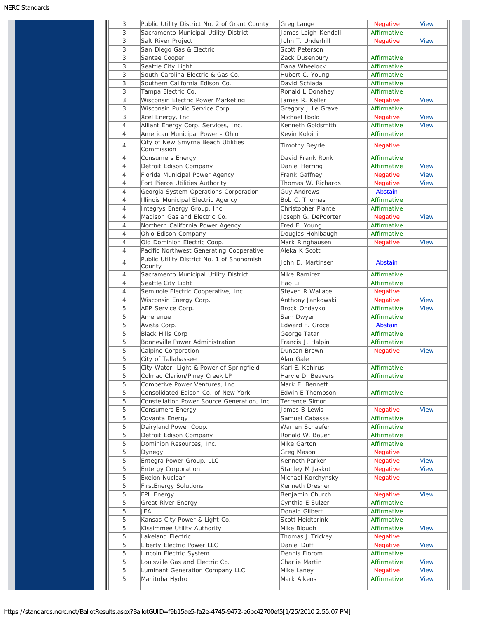| 3      | Public Utility District No. 2 of Grant County        | Greg Lange                | Negative                | <b>View</b>                |
|--------|------------------------------------------------------|---------------------------|-------------------------|----------------------------|
| 3      | Sacramento Municipal Utility District                | James Leigh-Kendall       | Affirmative             |                            |
| 3      | Salt River Project                                   | John T. Underhill         | Negative                | <b>View</b>                |
| 3      | San Diego Gas & Electric                             | Scott Peterson            |                         |                            |
| 3      | Santee Cooper                                        | Zack Dusenbury            | Affirmative             |                            |
| 3      | Seattle City Light                                   | Dana Wheelock             | Affirmative             |                            |
| 3      | South Carolina Electric & Gas Co.                    | Hubert C. Young           | Affirmative             |                            |
| 3      | Southern California Edison Co.                       | David Schiada             | Affirmative             |                            |
|        |                                                      |                           |                         |                            |
| 3      | Tampa Electric Co.                                   | Ronald L Donahey          | Affirmative             |                            |
| 3      | Wisconsin Electric Power Marketing                   | James R. Keller           | Negative                | <b>View</b>                |
| 3      | Wisconsin Public Service Corp.                       | Gregory J Le Grave        | Affirmative             |                            |
| 3      | Xcel Energy, Inc.                                    | Michael Ibold             | <b>Negative</b>         | <b>View</b>                |
| 4      | Alliant Energy Corp. Services, Inc.                  | Kenneth Goldsmith         | Affirmative             | <b>View</b>                |
| 4      | American Municipal Power - Ohio                      | Kevin Koloini             | Affirmative             |                            |
| 4      | City of New Smyrna Beach Utilities<br>Commission     | Timothy Beyrle            | <b>Negative</b>         |                            |
| 4      | Consumers Energy                                     | David Frank Ronk          | Affirmative             |                            |
| 4      | Detroit Edison Company                               | Daniel Herring            | Affirmative             | <b>View</b>                |
| 4      | Florida Municipal Power Agency                       | Frank Gaffney             | <b>Negative</b>         | <b>View</b>                |
| 4      | Fort Pierce Utilities Authority                      | Thomas W. Richards        | Negative                | <b>View</b>                |
| 4      | Georgia System Operations Corporation                | Guy Andrews               | Abstain                 |                            |
| 4      | Illinois Municipal Electric Agency                   | Bob C. Thomas             | Affirmative             |                            |
| 4      | Integrys Energy Group, Inc.                          | Christopher Plante        | Affirmative             |                            |
|        |                                                      |                           |                         |                            |
| 4      | Madison Gas and Electric Co.                         | Joseph G. DePoorter       | <b>Negative</b>         | <b>View</b>                |
| 4      | Northern California Power Agency                     | Fred E. Young             | Affirmative             |                            |
| 4      | Ohio Edison Company                                  | Douglas Hohlbaugh         | Affirmative             |                            |
| 4      | Old Dominion Electric Coop.                          | Mark Ringhausen           | <b>Negative</b>         | <b>View</b>                |
| 4      | Pacific Northwest Generating Cooperative             | Aleka K Scott             |                         |                            |
| 4      | Public Utility District No. 1 of Snohomish<br>County | John D. Martinsen         | Abstain                 |                            |
| 4      | Sacramento Municipal Utility District                | Mike Ramirez              | Affirmative             |                            |
| 4      | Seattle City Light                                   | Hao Li                    | Affirmative             |                            |
| 4      | Seminole Electric Cooperative, Inc.                  | Steven R Wallace          | <b>Negative</b>         |                            |
| 4      | Wisconsin Energy Corp.                               | Anthony Jankowski         | <b>Negative</b>         | <b>View</b>                |
| 5      | AEP Service Corp.                                    | Brock Ondayko             | Affirmative             | <b>View</b>                |
| 5      | Amerenue                                             | Sam Dwyer                 | Affirmative             |                            |
| 5      |                                                      | Edward F. Groce           | Abstain                 |                            |
|        | Avista Corp.                                         |                           |                         |                            |
| 5      | <b>Black Hills Corp</b>                              | George Tatar              | Affirmative             |                            |
| 5      | Bonneville Power Administration                      | Francis J. Halpin         | Affirmative             |                            |
| 5      | Calpine Corporation                                  | Duncan Brown              | <b>Negative</b>         | <b>View</b>                |
| 5      | City of Tallahassee                                  | Alan Gale                 |                         |                            |
| 5      | City Water, Light & Power of Springfield             | Karl E. Kohlrus           | Affirmative             |                            |
| 5      | Colmac Clarion/Piney Creek LP                        | Harvie D. Beavers         | Affirmative             |                            |
| 5      | Competive Power Ventures, Inc.                       | Mark E. Bennett           |                         |                            |
| 5      | Consolidated Edison Co. of New York                  | Edwin E Thompson          | Affirmative             |                            |
| 5      | Constellation Power Source Generation, Inc.          | Terrence Simon            |                         |                            |
| 5      | Consumers Energy                                     | James B Lewis             | Negative                | <b>View</b>                |
| 5      | Covanta Energy                                       | Samuel Cabassa            | Affirmative             |                            |
| 5      | Dairyland Power Coop.                                | Warren Schaefer           | Affirmative             |                            |
| 5      | Detroit Edison Company                               | Ronald W. Bauer           | Affirmative             |                            |
| 5      | Dominion Resources, Inc.                             | Mike Garton               | Affirmative             |                            |
| 5      | Dynegy                                               |                           |                         |                            |
|        |                                                      | Greg Mason                | <b>Negative</b>         |                            |
| 5      | Entegra Power Group, LLC                             | Kenneth Parker            | Negative                | <b>View</b>                |
| 5      | <b>Entergy Corporation</b>                           | Stanley M Jaskot          | Negative                | <b>View</b>                |
| 5      | Exelon Nuclear                                       | Michael Korchynsky        | <b>Negative</b>         |                            |
| 5      | <b>FirstEnergy Solutions</b>                         | Kenneth Dresner           |                         |                            |
| 5      | FPL Energy                                           | Benjamin Church           | Negative                | <b>View</b>                |
| 5      | Great River Energy                                   | Cynthia E Sulzer          | Affirmative             |                            |
| 5      | JEA                                                  | Donald Gilbert            | Affirmative             |                            |
| 5      | Kansas City Power & Light Co.                        | Scott Heidtbrink          | Affirmative             |                            |
| 5      | Kissimmee Utility Authority                          | Mike Blough               | Affirmative             | <b>View</b>                |
| 5      | Lakeland Electric                                    | Thomas J Trickey          | <b>Negative</b>         |                            |
|        | Liberty Electric Power LLC                           | Daniel Duff               | Negative                | <b>View</b>                |
|        |                                                      |                           |                         |                            |
| 5      |                                                      |                           |                         |                            |
| 5      | Lincoln Electric System                              | Dennis Florom             | Affirmative             |                            |
| 5      | Louisville Gas and Electric Co.                      | Charlie Martin            | Affirmative             | <b>View</b>                |
| 5<br>5 | Luminant Generation Company LLC<br>Manitoba Hydro    | Mike Laney<br>Mark Aikens | Negative<br>Affirmative | <b>View</b><br><b>View</b> |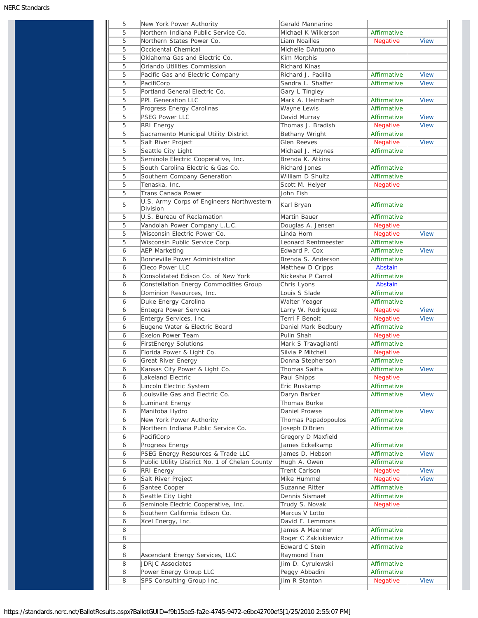| 5<br>5 | New York Power Authority<br>Northern Indiana Public Service Co. | Gerald Mannarino<br>Michael K Wilkerson | Affirmative     |             |
|--------|-----------------------------------------------------------------|-----------------------------------------|-----------------|-------------|
| 5      | Northern States Power Co.                                       | Liam Noailles                           | Negative        | <b>View</b> |
| 5      | Occidental Chemical                                             | Michelle DAntuono                       |                 |             |
| 5      | Oklahoma Gas and Electric Co.                                   | Kim Morphis                             |                 |             |
| 5      | Orlando Utilities Commission                                    | Richard Kinas                           |                 |             |
| 5      | Pacific Gas and Electric Company                                | Richard J. Padilla                      | Affirmative     | <b>View</b> |
| 5      | PacifiCorp                                                      | Sandra L. Shaffer                       | Affirmative     | <b>View</b> |
| 5      | Portland General Electric Co.                                   | Gary L Tingley                          |                 |             |
| 5      | <b>PPL Generation LLC</b>                                       | Mark A. Heimbach                        | Affirmative     | <b>View</b> |
| 5      | Progress Energy Carolinas                                       | Wayne Lewis                             | Affirmative     |             |
| 5      | <b>PSEG Power LLC</b>                                           | David Murray                            | Affirmative     | <b>View</b> |
| 5      | <b>RRI Energy</b>                                               | Thomas J. Bradish                       | <b>Negative</b> | <b>View</b> |
| 5      | Sacramento Municipal Utility District                           | Bethany Wright                          | Affirmative     |             |
| 5      | Salt River Project                                              | <b>Glen Reeves</b>                      | Negative        | <b>View</b> |
| 5      | Seattle City Light                                              | Michael J. Haynes                       | Affirmative     |             |
| 5      | Seminole Electric Cooperative, Inc.                             | Brenda K. Atkins                        |                 |             |
| 5      | South Carolina Electric & Gas Co.                               | <b>Richard Jones</b>                    | Affirmative     |             |
| 5      | Southern Company Generation                                     | William D Shultz                        | Affirmative     |             |
| 5      | Tenaska, Inc.                                                   | Scott M. Helyer                         | Negative        |             |
| 5      | Trans Canada Power                                              | John Fish                               |                 |             |
| 5      | U.S. Army Corps of Engineers Northwestern<br>Division           | Karl Bryan                              | Affirmative     |             |
| 5      | U.S. Bureau of Reclamation                                      | Martin Bauer                            | Affirmative     |             |
| 5      | Vandolah Power Company L.L.C.                                   | Douglas A. Jensen                       | <b>Negative</b> |             |
| 5      | Wisconsin Electric Power Co.                                    | Linda Horn                              | <b>Negative</b> | <b>View</b> |
| 5      | Wisconsin Public Service Corp.                                  | Leonard Rentmeester                     | Affirmative     |             |
| 6      | <b>AEP Marketing</b>                                            | Edward P. Cox                           | Affirmative     | <b>View</b> |
| 6      | Bonneville Power Administration                                 | Brenda S. Anderson                      | Affirmative     |             |
| 6      | Cleco Power LLC                                                 | Matthew D Cripps                        | Abstain         |             |
| 6      | Consolidated Edison Co. of New York                             | Nickesha P Carrol                       | Affirmative     |             |
| 6      | Constellation Energy Commodities Group                          | Chris Lyons                             | Abstain         |             |
| 6      | Dominion Resources, Inc.                                        | Louis S Slade                           | Affirmative     |             |
| 6      | Duke Energy Carolina                                            | Walter Yeager                           | Affirmative     |             |
| 6      | <b>Entegra Power Services</b>                                   | Larry W. Rodriguez                      | <b>Negative</b> | <b>View</b> |
| 6      | Entergy Services, Inc.                                          | Terri F Benoit                          | Negative        | <b>View</b> |
| 6      | Eugene Water & Electric Board                                   | Daniel Mark Bedbury                     | Affirmative     |             |
| 6      | <b>Exelon Power Team</b>                                        | Pulin Shah                              | <b>Negative</b> |             |
| 6      | <b>FirstEnergy Solutions</b>                                    | Mark S Travaglianti                     | Affirmative     |             |
| 6      | Florida Power & Light Co.                                       | Silvia P Mitchell                       | <b>Negative</b> |             |
| 6      | Great River Energy                                              | Donna Stephenson                        | Affirmative     |             |
| 6      | Kansas City Power & Light Co.                                   | Thomas Saitta                           | Affirmative     | View        |
| 6      | Lakeland Electric                                               | Paul Shipps                             | Negative        |             |
| 6      | Lincoln Electric System                                         | Eric Ruskamp                            | Affirmative     |             |
| 6      | Louisville Gas and Electric Co.                                 | Daryn Barker                            | Affirmative     | <b>View</b> |
| 6      | Luminant Energy                                                 | Thomas Burke                            |                 |             |
| 6      | Manitoba Hydro                                                  | Daniel Prowse                           | Affirmative     | <b>View</b> |
| 6      | New York Power Authority                                        | Thomas Papadopoulos                     | Affirmative     |             |
| 6      | Northern Indiana Public Service Co.                             | Joseph O'Brien                          | Affirmative     |             |
| 6      | PacifiCorp                                                      | Gregory D Maxfield                      |                 |             |
| 6      | Progress Energy                                                 | James Eckelkamp                         | Affirmative     |             |
| 6      | PSEG Energy Resources & Trade LLC                               | James D. Hebson                         | Affirmative     | <b>View</b> |
| 6      | Public Utility District No. 1 of Chelan County                  | Hugh A. Owen                            | Affirmative     |             |
| 6      | RRI Energy                                                      | Trent Carlson                           | Negative        | <b>View</b> |
| 6      | Salt River Project                                              | Mike Hummel                             | Negative        | <b>View</b> |
| 6      | Santee Cooper                                                   | Suzanne Ritter                          | Affirmative     |             |
| 6      | Seattle City Light                                              | Dennis Sismaet                          | Affirmative     |             |
| 6      | Seminole Electric Cooperative, Inc.                             | Trudy S. Novak                          | Negative        |             |
| 6      | Southern California Edison Co.                                  | Marcus V Lotto                          |                 |             |
| 6      | Xcel Energy, Inc.                                               | David F. Lemmons                        |                 |             |
| 8      |                                                                 | James A Maenner                         | Affirmative     |             |
| 8      |                                                                 | Roger C Zaklukiewicz                    | Affirmative     |             |
| 8      |                                                                 | Edward C Stein                          | Affirmative     |             |
|        | Ascendant Energy Services, LLC                                  | Raymond Tran                            |                 |             |
| 8      |                                                                 |                                         |                 |             |
| 8      | <b>JDRJC Associates</b>                                         | Jim D. Cyrulewski                       | Affirmative     |             |
| 8      | Power Energy Group LLC                                          | Peggy Abbadini                          | Affirmative     |             |